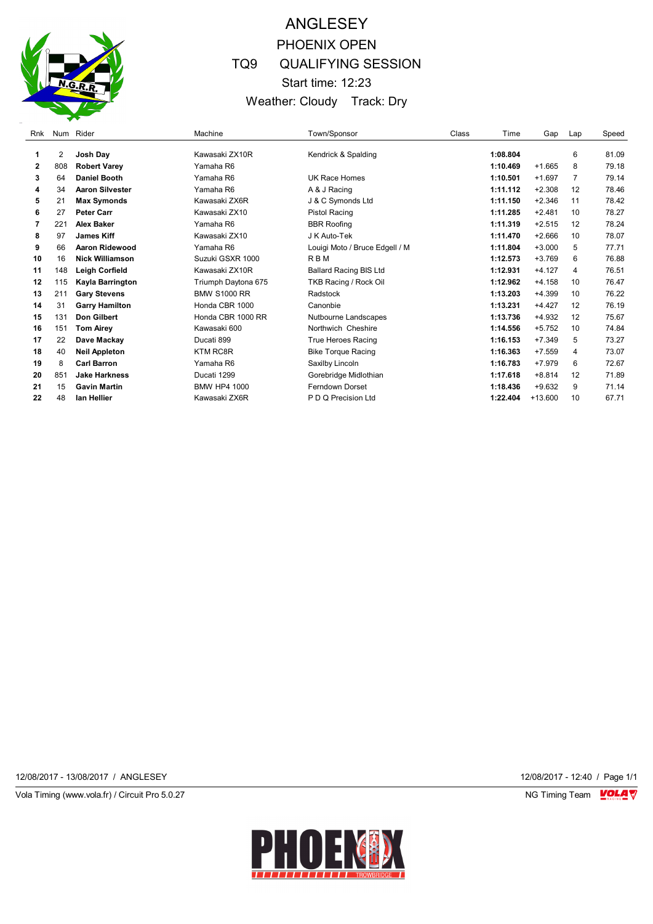

# ANGLESEY PHOENIX OPEN TQ9 QUALIFYING SESSION Start time: 12:23 Weather: Cloudy Track: Dry

| Rnk |     | Num Rider              | Machine             | Town/Sponsor                   | Class | Time     | Gap       | Lap | Speed |
|-----|-----|------------------------|---------------------|--------------------------------|-------|----------|-----------|-----|-------|
| 1.  | 2   | Josh Day               | Kawasaki ZX10R      | Kendrick & Spalding            |       | 1:08.804 |           | 6   | 81.09 |
| 2   | 808 | <b>Robert Varey</b>    | Yamaha R6           |                                |       | 1:10.469 | $+1.665$  | 8   | 79.18 |
| 3   | 64  | <b>Daniel Booth</b>    | Yamaha R6           | UK Race Homes                  |       | 1:10.501 | $+1.697$  | 7   | 79.14 |
| 4   | 34  | <b>Aaron Silvester</b> | Yamaha R6           | A & J Racing                   |       | 1:11.112 | $+2.308$  | 12  | 78.46 |
| 5   | 21  | <b>Max Symonds</b>     | Kawasaki ZX6R       | J & C Symonds Ltd              |       | 1:11.150 | $+2.346$  | 11  | 78.42 |
| 6   | 27  | <b>Peter Carr</b>      | Kawasaki ZX10       | <b>Pistol Racing</b>           |       | 1:11.285 | $+2.481$  | 10  | 78.27 |
| 7   | 221 | <b>Alex Baker</b>      | Yamaha R6           | <b>BBR Roofing</b>             |       | 1:11.319 | $+2.515$  | 12  | 78.24 |
| 8   | 97  | <b>James Kiff</b>      | Kawasaki ZX10       | J K Auto-Tek                   |       | 1:11.470 | $+2.666$  | 10  | 78.07 |
| 9   | 66  | Aaron Ridewood         | Yamaha R6           | Louigi Moto / Bruce Edgell / M |       | 1:11.804 | $+3.000$  | 5   | 77.71 |
| 10  | 16  | <b>Nick Williamson</b> | Suzuki GSXR 1000    | <b>RBM</b>                     |       | 1:12.573 | $+3.769$  | 6   | 76.88 |
| 11  | 148 | Leigh Corfield         | Kawasaki ZX10R      | <b>Ballard Racing BIS Ltd</b>  |       | 1:12.931 | $+4.127$  | 4   | 76.51 |
| 12  | 115 | Kayla Barrington       | Triumph Daytona 675 | TKB Racing / Rock Oil          |       | 1:12.962 | $+4.158$  | 10  | 76.47 |
| 13  | 211 | <b>Gary Stevens</b>    | <b>BMW S1000 RR</b> | Radstock                       |       | 1:13.203 | $+4.399$  | 10  | 76.22 |
| 14  | 31  | <b>Garry Hamilton</b>  | Honda CBR 1000      | Canonbie                       |       | 1:13.231 | $+4.427$  | 12  | 76.19 |
| 15  | 131 | <b>Don Gilbert</b>     | Honda CBR 1000 RR   | Nutbourne Landscapes           |       | 1:13.736 | $+4.932$  | 12  | 75.67 |
| 16  | 151 | <b>Tom Airey</b>       | Kawasaki 600        | Northwich Cheshire             |       | 1:14.556 | $+5.752$  | 10  | 74.84 |
| 17  | 22  | Dave Mackay            | Ducati 899          | True Heroes Racing             |       | 1:16.153 | $+7.349$  | 5   | 73.27 |
| 18  | 40  | <b>Neil Appleton</b>   | <b>KTM RC8R</b>     | <b>Bike Torque Racing</b>      |       | 1:16.363 | $+7.559$  | 4   | 73.07 |
| 19  | 8   | <b>Carl Barron</b>     | Yamaha R6           | Saxilby Lincoln                |       | 1:16.783 | $+7.979$  | 6   | 72.67 |
| 20  | 851 | <b>Jake Harkness</b>   | Ducati 1299         | Gorebridge Midlothian          |       | 1:17.618 | $+8.814$  | 12  | 71.89 |
| 21  | 15  | <b>Gavin Martin</b>    | <b>BMW HP4 1000</b> | Ferndown Dorset                |       | 1:18.436 | $+9.632$  | 9   | 71.14 |
| 22  | 48  | lan Hellier            | Kawasaki ZX6R       | P D Q Precision Ltd            |       | 1:22.404 | $+13.600$ | 10  | 67.71 |

12/08/2017 - 13/08/2017 / ANGLESEY 12/08/2017 - 12:40 / Page 1/1

Vola Timing (www.vola.fr) / Circuit Pro 5.0.27 **NG Timing Team Monet Account Property** 

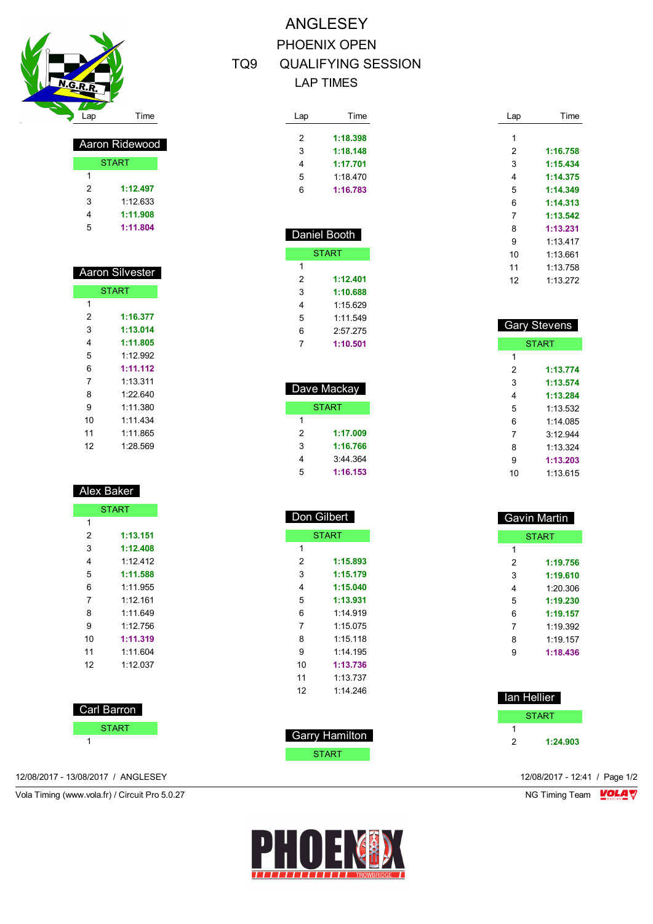

| <b>Aaron Ridewood</b> |          |  |
|-----------------------|----------|--|
| <b>START</b>          |          |  |
| 1                     |          |  |
| 2                     | 1:12.497 |  |
| 3                     | 1.12633  |  |
| 4                     | 1:11.908 |  |
| 5                     | 1:11.804 |  |

| Aaron Silvester |              |  |  |
|-----------------|--------------|--|--|
|                 | <b>START</b> |  |  |
| 1               |              |  |  |
| 2               | 1:16.377     |  |  |
| 3               | 1:13.014     |  |  |
| 4               | 1:11.805     |  |  |
| 5               | 1.12.992     |  |  |
| 6               | 1:11.112     |  |  |
| 7               | 1.13.311     |  |  |
| 8               | 1.22.640     |  |  |
| 9               | 1.11.380     |  |  |
| 10              | 1.11.434     |  |  |
| 11              | 1.11 865     |  |  |
| 12              | 1:28.569     |  |  |

### Alex Baker

|    | <b>START</b> |
|----|--------------|
| 1  |              |
| 2  | 1:13.151     |
| 3  | 1:12.408     |
| 4  | 1.12412      |
| 5  | 1:11.588     |
| 6  | 1.11 955     |
| 7  | 1.12 161     |
| 8  | 1.11 649     |
| 9  | 1.12 756     |
| 10 | 1:11.319     |
| 11 | 1:11.604     |
| 12 | 1.12 037     |

### Carl Barron

| START<br>o |  |
|------------|--|
|            |  |

12/08/2017 - 13/08/2017 / ANGLESEY 12/08/2017 - 12:41 / Page 1/2

Vola Timing (www.vola.fr) / Circuit Pro 5.0.27 NG Timing Team NG Timing Team NG Timing Team NG Timing Team NG

# ANGLESEY PHOENIX OPEN TQ9 QUALIFYING SESSION LAP TIMES

| Lap | Time     |
|-----|----------|
|     |          |
| 2   | 1:18.398 |
| 3   | 1:18.148 |
| 4   | 1:17.701 |
| 5   | 1.18470  |
| հ   | 1:16.783 |
|     |          |

| Daniel Booth |          |  |
|--------------|----------|--|
|              | START    |  |
| 1            |          |  |
| 2            | 1:12.401 |  |
| 3            | 1:10.688 |  |
| 4            | 1.15629  |  |
| 5            | 1:11.549 |  |
| 6            | 2:57 275 |  |
| 7            | 1:10.501 |  |

| Dave Mackay |          |  |
|-------------|----------|--|
| START       |          |  |
| 1           |          |  |
| 2           | 1:17.009 |  |
| 3           | 1:16.766 |  |
| 4           | 3:44.364 |  |
| 5           | 1:16.153 |  |

| <u> Don Gilbert</u> |              |  |  |  |
|---------------------|--------------|--|--|--|
|                     | <b>START</b> |  |  |  |
| 1                   |              |  |  |  |
| 2                   | 1:15.893     |  |  |  |
| 3                   | 1:15.179     |  |  |  |
| 4                   | 1:15.040     |  |  |  |
| 5                   | 1:13.931     |  |  |  |
| 6                   | 1.14919      |  |  |  |
| 7                   | 1.15075      |  |  |  |
| 8                   | 1.15118      |  |  |  |
| 9                   | $1.14$ 195   |  |  |  |
| 10                  | 1:13.736     |  |  |  |
| 11                  | 1:13 737     |  |  |  |
| 12                  | 1:14.246     |  |  |  |

| <b>Garry Hamilton</b> |
|-----------------------|
| <b>START</b>          |

| Lap | Time     |
|-----|----------|
| 1   |          |
| 2   | 1:16.758 |
| 3   | 1:15.434 |
| 4   | 1:14.375 |
| 5   | 1:14.349 |
| 6   | 1:14.313 |
| 7   | 1:13.542 |
| 8   | 1:13.231 |
| 9   | 1.13417  |
| 10  | 1:13.661 |
| 11  | 1:13.758 |
| 12  | 1:13.272 |

| Gary Stevens |              |  |
|--------------|--------------|--|
|              | <b>START</b> |  |
| 1            |              |  |
| 2            | 1:13.774     |  |
| 3            | 1:13.574     |  |
| 4            | 1:13.284     |  |
| 5            | 1.13.532     |  |
| 6            | 1.14085      |  |
| 7            | 3.12944      |  |
| 8            | 1:13.324     |  |
| 9            | 1:13.203     |  |
| 10           | 1:13 615     |  |

| <u>Gav</u> in Martin |            |  |  |  |  |  |
|----------------------|------------|--|--|--|--|--|
| <b>START</b>         |            |  |  |  |  |  |
| 1                    |            |  |  |  |  |  |
| 2                    | 1:19.756   |  |  |  |  |  |
| 3                    | 1:19.610   |  |  |  |  |  |
| 4                    | 1:20.306   |  |  |  |  |  |
| 5                    | 1:19.230   |  |  |  |  |  |
| 6                    | 1:19.157   |  |  |  |  |  |
| 7                    | 1:19.392   |  |  |  |  |  |
| 8                    | $1.19$ 157 |  |  |  |  |  |
| 9                    | 1:18.436   |  |  |  |  |  |
|                      |            |  |  |  |  |  |

| lan Hellier |          |
|-------------|----------|
|             | START    |
|             |          |
| 2           | 1:24.903 |

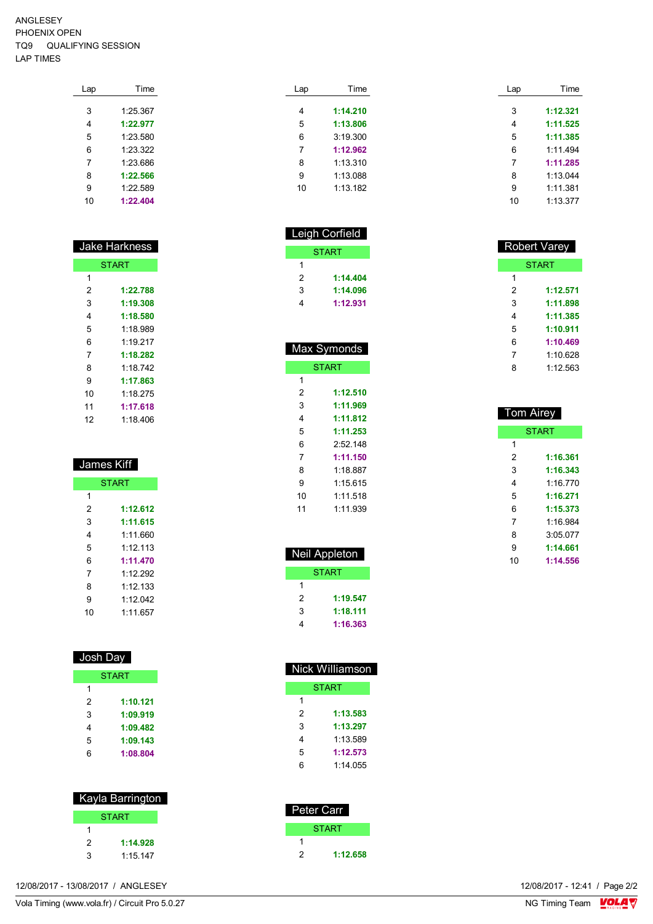#### ANGLESEY PHOENIX OPEN TQ9 QUALIFYING SESSION LAP TIMES

| Lap | Time     |
|-----|----------|
|     |          |
| 3   | 1.25.367 |
| 4   | 1:22.977 |
| 5   | 1:23.580 |
| 6   | 1.23.322 |
| 7   | 1.23686  |
| 8   | 1:22.566 |
| 9   | 1:22.589 |
| 10  | 1:22.404 |
|     |          |

| Jake Harkness |              |  |  |  |  |
|---------------|--------------|--|--|--|--|
|               | <b>START</b> |  |  |  |  |
| 1             |              |  |  |  |  |
| 2             | 1:22.788     |  |  |  |  |
| 3             | 1:19.308     |  |  |  |  |
| 4             | 1:18.580     |  |  |  |  |
| 5             | 1:18 989     |  |  |  |  |
| 6             | 1.19217      |  |  |  |  |
| 7             | 1:18.282     |  |  |  |  |
| 8             | 1:18.742     |  |  |  |  |
| 9             | 1:17.863     |  |  |  |  |
| 10            | 1:18.275     |  |  |  |  |
| 11            | 1:17.618     |  |  |  |  |
| 12            | 1:18.406     |  |  |  |  |

| <b>James Kiff</b> |          |  |  |  |  |
|-------------------|----------|--|--|--|--|
| <b>START</b>      |          |  |  |  |  |
| 1                 |          |  |  |  |  |
| 2                 | 1:12.612 |  |  |  |  |
| 3                 | 1:11.615 |  |  |  |  |
| 4                 | 1.11660  |  |  |  |  |
| 5                 | 1.12113  |  |  |  |  |
| 6                 | 1:11.470 |  |  |  |  |
| 7                 | 1.12.292 |  |  |  |  |
| 8                 | 1.12 133 |  |  |  |  |
| 9                 | 1.12042  |  |  |  |  |
| 10                | 1:11.657 |  |  |  |  |

| Josh Day     |          |  |  |  |  |
|--------------|----------|--|--|--|--|
| <b>START</b> |          |  |  |  |  |
| 1            |          |  |  |  |  |
| 2            | 1:10.121 |  |  |  |  |
| 3            | 1:09.919 |  |  |  |  |
| 4            | 1:09.482 |  |  |  |  |
| 5            | 1:09.143 |  |  |  |  |
| 6            | 1:08.804 |  |  |  |  |
|              |          |  |  |  |  |

|              | Kayla Barrington |  |  |  |  |
|--------------|------------------|--|--|--|--|
| <b>START</b> |                  |  |  |  |  |
| 1            |                  |  |  |  |  |
| 2            | 1:14.928         |  |  |  |  |
| 3            | 1:15.147         |  |  |  |  |

| Peter Carr |              |
|------------|--------------|
|            | <b>START</b> |
|            |              |
|            | 1:12.658     |

 Leigh Corfield **START** 

> **1:14.404 1:14.096 1:12.931**

 Max Symonds **START** 

> **1:12.510 1:11.969 1:11.812 1:11.253** 2:52.148 **1:11.150** 1:18.887 1:15.615 1:11.518 1:11.939

 Neil Appleton START

> **1:19.547 1:18.111 1:16.363**

 Nick Williamson **START** 

> **1:13.583 1:13.297** 1:13.589 **1:12.573** 1:14.055

 $\overline{1}$ 

 $\overline{1}$ 

| Lap | Time     | Lap | Time     |
|-----|----------|-----|----------|
| 4   | 1:14.210 | 3   | 1:12.321 |
| 5   | 1:13.806 | 4   | 1:11.525 |
| 6   | 3:19.300 | 5   | 1:11.385 |
| 7   | 1:12.962 | 6   | 1:11.494 |
| 8   | 1:13.310 | 7   | 1:11.285 |
| 9   | 1:13.088 | 8   | 1:13.044 |
| 10  | 1:13.182 | 9   | 1:11.381 |
|     |          | 10  | 1:13.377 |

| <b>Robert Varey</b> |              |  |  |  |
|---------------------|--------------|--|--|--|
|                     | <b>START</b> |  |  |  |
| 1                   |              |  |  |  |
| 2                   | 1:12.571     |  |  |  |
| 3                   | 1:11.898     |  |  |  |
| 4                   | 1:11.385     |  |  |  |
| 5                   | 1:10.911     |  |  |  |
| 6                   | 1:10.469     |  |  |  |
| 7                   | 1:10.628     |  |  |  |
| 8                   | 1.12563      |  |  |  |

| <b>Tom Airey</b> |              |  |  |  |  |
|------------------|--------------|--|--|--|--|
|                  | <b>START</b> |  |  |  |  |
| 1                |              |  |  |  |  |
| 2                | 1:16.361     |  |  |  |  |
| 3                | 1:16.343     |  |  |  |  |
| 4                | 1.16770      |  |  |  |  |
| 5                | 1:16.271     |  |  |  |  |
| 6                | 1:15.373     |  |  |  |  |
| 7                | 1:16.984     |  |  |  |  |
| 8                | 3:05.077     |  |  |  |  |
| 9                | 1:14.661     |  |  |  |  |
| 10               | 1:14.556     |  |  |  |  |

12/08/2017 - 13/08/2017 / ANGLESEY

Vola Timing (www.vola.fr) / Circuit Pro 5.0.27

12/08/2017 - 12:41 / Page 2/2<br>NG Timing Team  $\sqrt{\text{OLA}}$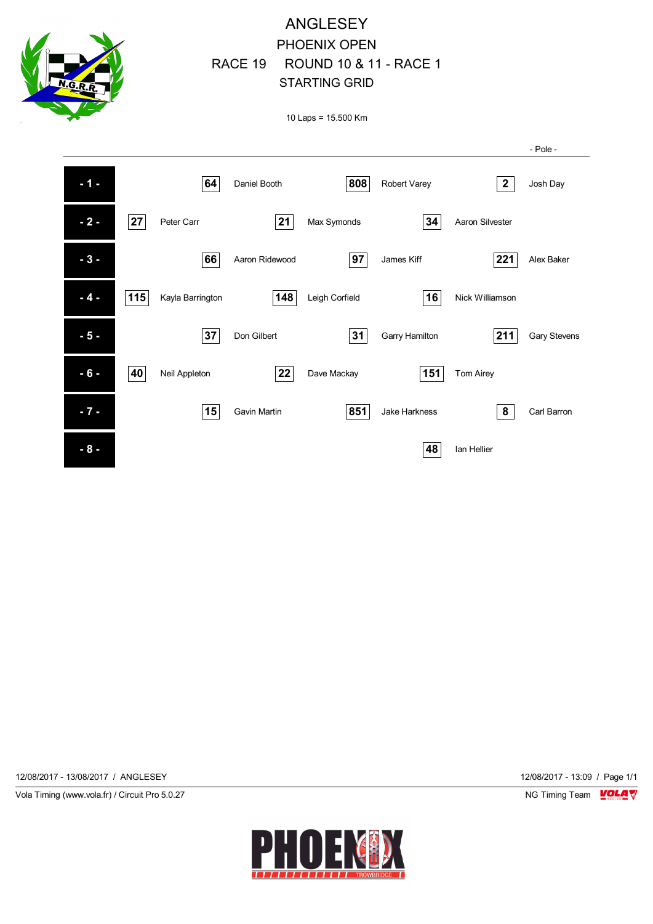

ANGLESEY PHOENIX OPEN RACE 19 ROUND 10 & 11 - RACE 1 STARTING GRID

12/08/2017 - 13/08/2017 / ANGLESEY 12/08/2017 - 13:09 / Page 1/1

Vola Timing (www.vola.fr) / Circuit Pro 5.0.27 NG Timing Team NG Timing Team NG Timing Team NG Timing Team NG

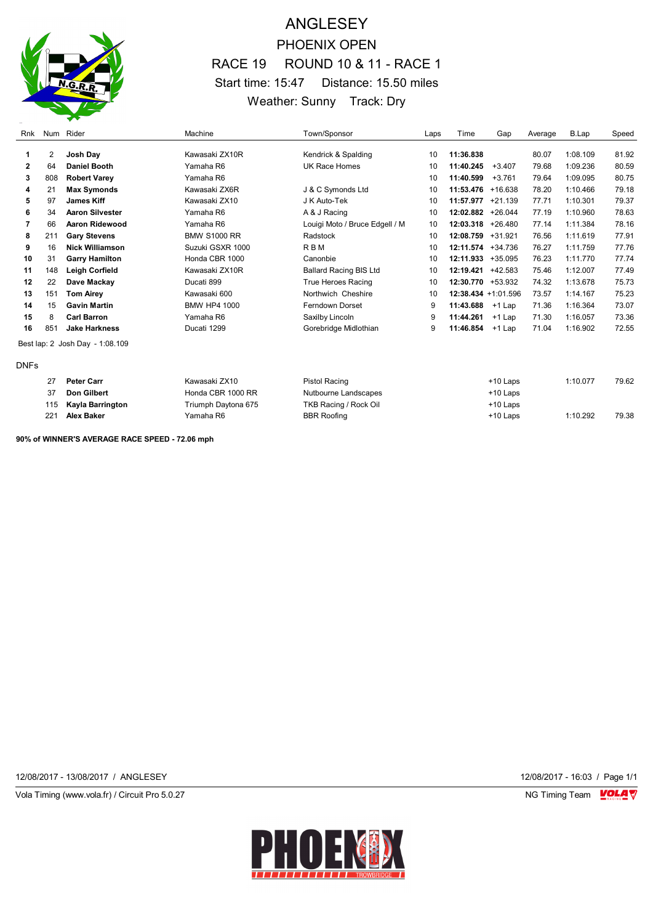

## ANGLESEY PHOENIX OPEN RACE 19 ROUND 10 & 11 - RACE 1 Start time: 15:47 Distance: 15.50 miles Weather: Sunny Track: Dry

| Rnk         |     | Num Rider                       | Machine             | Town/Sponsor                   | Laps | Time                | Gap        | Average | B.Lap    | Speed |
|-------------|-----|---------------------------------|---------------------|--------------------------------|------|---------------------|------------|---------|----------|-------|
|             |     |                                 | Kawasaki ZX10R      |                                |      | 11:36.838           |            | 80.07   | 1:08.109 | 81.92 |
| 1           | 2   | Josh Day                        |                     | Kendrick & Spalding            | 10   |                     |            |         |          |       |
| 2           | 64  | <b>Daniel Booth</b>             | Yamaha R6           | <b>UK Race Homes</b>           | 10   | 11:40.245           | $+3.407$   | 79.68   | 1:09.236 | 80.59 |
| 3           | 808 | <b>Robert Varey</b>             | Yamaha R6           |                                | 10   | 11:40.599           | $+3.761$   | 79.64   | 1:09.095 | 80.75 |
| 4           | 21  | <b>Max Symonds</b>              | Kawasaki ZX6R       | J & C Symonds Ltd              | 10   | 11:53.476           | +16.638    | 78.20   | 1:10.466 | 79.18 |
| 5           | 97  | <b>James Kiff</b>               | Kawasaki ZX10       | J K Auto-Tek                   | 10   | 11:57.977           | $+21.139$  | 77.71   | 1:10.301 | 79.37 |
| 6           | 34  | <b>Aaron Silvester</b>          | Yamaha R6           | A & J Racing                   | 10   | 12:02.882           | $+26.044$  | 77.19   | 1:10.960 | 78.63 |
|             | 66  | <b>Aaron Ridewood</b>           | Yamaha R6           | Louigi Moto / Bruce Edgell / M | 10   | 12:03.318           | $+26.480$  | 77.14   | 1:11.384 | 78.16 |
| 8           | 211 | <b>Gary Stevens</b>             | <b>BMW S1000 RR</b> | Radstock                       | 10   | 12:08.759           | $+31.921$  | 76.56   | 1:11.619 | 77.91 |
| 9           | 16  | <b>Nick Williamson</b>          | Suzuki GSXR 1000    | <b>RBM</b>                     | 10   | 12:11.574 +34.736   |            | 76.27   | 1:11.759 | 77.76 |
| 10          | 31  | <b>Garry Hamilton</b>           | Honda CBR 1000      | Canonbie                       | 10   | 12:11.933           | +35.095    | 76.23   | 1:11.770 | 77.74 |
| 11          | 148 | Leigh Corfield                  | Kawasaki ZX10R      | <b>Ballard Racing BIS Ltd</b>  | 10   | 12:19.421           | +42.583    | 75.46   | 1:12.007 | 77.49 |
| 12          | 22  | Dave Mackay                     | Ducati 899          | <b>True Heroes Racing</b>      | 10   | 12:30.770           | +53.932    | 74.32   | 1:13.678 | 75.73 |
| 13          | 151 | <b>Tom Airey</b>                | Kawasaki 600        | Northwich Cheshire             | 10   | 12:38.434 +1:01.596 |            | 73.57   | 1:14.167 | 75.23 |
| 14          | 15  | <b>Gavin Martin</b>             | BMW HP4 1000        | Ferndown Dorset                | 9    | 11:43.688           | +1 Lap     | 71.36   | 1:16.364 | 73.07 |
| 15          | 8   | <b>Carl Barron</b>              | Yamaha R6           | Saxilby Lincoln                | 9    | 11:44.261           | $+1$ Lap   | 71.30   | 1:16.057 | 73.36 |
| 16          | 851 | <b>Jake Harkness</b>            | Ducati 1299         | Gorebridge Midlothian          | 9    | 11:46.854           | $+1$ Lap   | 71.04   | 1:16.902 | 72.55 |
|             |     | Best lap: 2 Josh Day - 1:08.109 |                     |                                |      |                     |            |         |          |       |
| <b>DNFs</b> |     |                                 |                     |                                |      |                     |            |         |          |       |
|             | 27  | <b>Peter Carr</b>               | Kawasaki ZX10       | <b>Pistol Racing</b>           |      |                     | $+10$ Laps |         | 1:10.077 | 79.62 |
|             | 37  | <b>Don Gilbert</b>              | Honda CBR 1000 RR   | Nutbourne Landscapes           |      |                     | $+10$ Laps |         |          |       |
|             | 115 | Kayla Barrington                | Triumph Daytona 675 | TKB Racing / Rock Oil          |      |                     | $+10$ Laps |         |          |       |
|             | 221 | <b>Alex Baker</b>               | Yamaha R6           | <b>BBR Roofing</b>             |      |                     | $+10$ Laps |         | 1:10.292 | 79.38 |

**90% of WINNER'S AVERAGE RACE SPEED - 72.06 mph**

12/08/2017 - 13/08/2017 / ANGLESEY 12/08/2017 - 16:03 / Page 1/1

Vola Timing (www.vola.fr) / Circuit Pro 5.0.27 NG Timing Team VOLA V

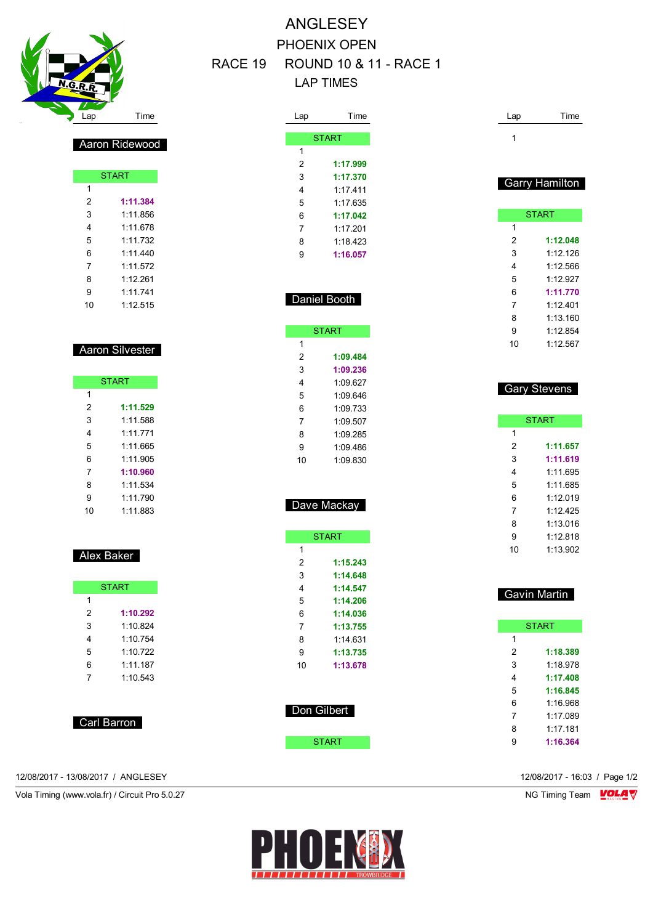

Aaron Ridewood

START

 **1:11.384** 1:11.856 1:11.678 1:11.732 1:11.440 1:11.572 1:12.261 1:11.741 1:12.515

Aaron Silvester

**START** 

 **1:11.529** 1:11.588 1:11.771 1:11.665 1:11.905 **1:10.960** 1:11.534 1:11.790 1:11.883

Alex Baker

START

 **1:10.292** 1:10.824 1:10.754 1:10.722 1:11.187 1:10.543

# ANGLESEY PHOENIX OPEN RACE 19 ROUND 10 & 11 - RACE 1 LAP TIMES

I

| Lap | Time         |
|-----|--------------|
|     |              |
|     | <b>START</b> |
| 1   |              |
| 2   | 1:17.999     |
| 3   | 1:17.370     |
| 4   | 1.17411      |
| 5   | 1.17635      |
| 6   | 1:17.042     |
| 7   | 1.17 201     |
| 8   | 1.18423      |
| 9   | 1:16.057     |
|     |              |

| Daniel Booth |
|--------------|
|--------------|

|                | <b>START</b> |
|----------------|--------------|
| 1              |              |
| $\overline{c}$ | 1:09.484     |
| 3              | 1:09.236     |
| 4              | 1.09627      |
| 5              | 1.09646      |
| 6              | 1:09.733     |
| 7              | 1.09.507     |
| 8              | 1.09285      |
| 9              | 1.09486      |
| 10             | 1.09830      |
|                |              |
|                |              |

#### Dave Mackay

|    | <b>START</b> |
|----|--------------|
| 1  |              |
| 2  | 1:15.243     |
| 3  | 1:14.648     |
| 4  | 1:14.547     |
| 5  | 1:14.206     |
| 6  | 1:14.036     |
| 7  | 1:13.755     |
| 8  | 1:14 631     |
| 9  | 1:13.735     |
| 10 | 1:13.678     |
|    |              |

| Don Gilbert |
|-------------|
|             |

**START** 

12/08/2017 - 13/08/2017 / ANGLESEY 12/08/2017 - 16:03 / Page 1/2

Vola Timing (www.vola.fr) / Circuit Pro 5.0.27 NG Timing Team NG Timing Team NG Timing Team NG Timing Team NG

Carl Barron



| 1  |                       |
|----|-----------------------|
|    | <b>Garry Hamilton</b> |
|    | <b>START</b>          |
| 1  |                       |
| 2  | 1:12.048              |
| 3  | 1.12126               |
| 4  | 1:12.566              |
| 5  | 1:12.927              |
| 6  | 1:11.770              |
| 7  | 1.12 401              |
| 8  | 1:13.160              |
| 9  | 1:12 854              |
| 10 | 1.12567               |
|    |                       |
|    |                       |
|    | <u>Gary Stevens</u>   |

Lap Time

|    | <b>START</b> |
|----|--------------|
| 1  |              |
| 2  | 1:11.657     |
| 3  | 1:11.619     |
| 4  | 1.11695      |
| 5  | 1.11685      |
| 6  | 1.12019      |
| 7  | 1.12425      |
| 8  | 1.13016      |
| 9  | 1.12818      |
| 10 | 1:13.902     |

| <b>Gavin Martin</b> |              |
|---------------------|--------------|
|                     |              |
|                     | <b>START</b> |
| 1                   |              |
| 2                   | 1:18.389     |
| 3                   | 1:18.978     |
| 4                   | 1:17.408     |
| 5                   | 1:16.845     |
| 6                   | 1:16.968     |
| 7                   | 1.17089      |
| 8                   | 1:17.181     |
| 9                   | 1:16.364     |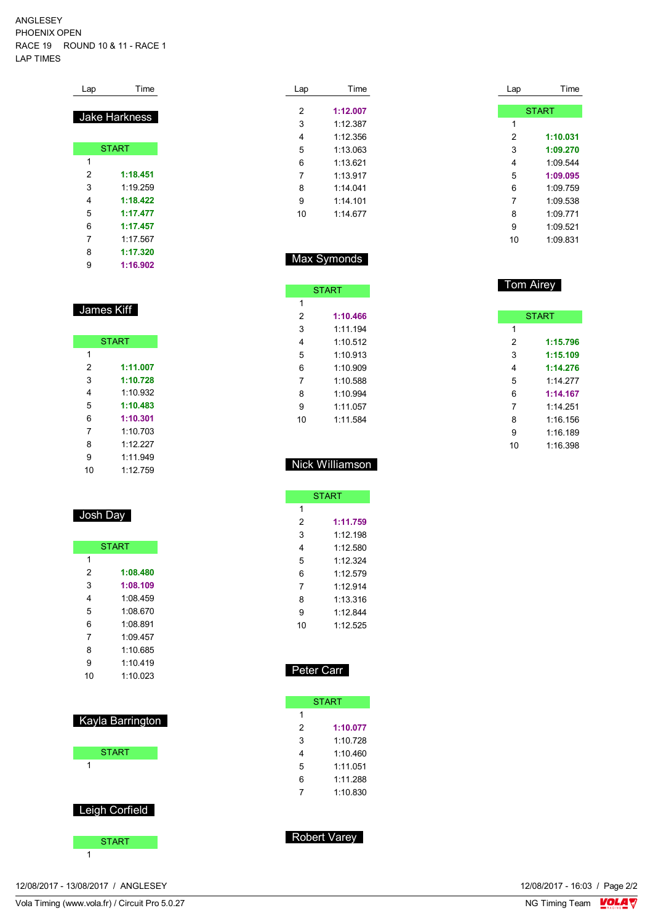#### ANGLESEY PHOENIX OPEN RACE 19 ROUND 10 & 11 - RACE 1 LAP TIMES

| Lap | Time          |
|-----|---------------|
|     | Jake Harkness |
|     | <b>START</b>  |
| 1   |               |
| 2   | 1:18.451      |
| 3   | 1.19 259      |
| 4   | 1:18.422      |
| 5   | 1:17.477      |
| 6   | 1:17.457      |
| 7   | 1:17.567      |
| 8   | 1:17.320      |
| 9   | 1:16.902      |

### James Kiff

|    | <b>START</b> |
|----|--------------|
| 1  |              |
| 2  | 1:11.007     |
| 3  | 1:10,728     |
| 4  | 1:10 932     |
| 5  | 1:10.483     |
| 6  | 1:10.301     |
| 7  | 1:10.703     |
| 8  | 1.12227      |
| 9  | 1.11949      |
| 10 | 1.12 759     |

Josh Day

|    | <b>START</b> |
|----|--------------|
| 1  |              |
| 2  | 1:08.480     |
| 3  | 1:08.109     |
| 4  | 1:08.459     |
| 5  | 1:08.670     |
| 6  | 1.08891      |
| 7  | 1.09457      |
| 8  | 1.10685      |
| 9  | 1:10.419     |
| 10 | 1.10023      |

| Kayla Barrington |
|------------------|
| <b>START</b>     |
| 1                |
| Leigh Corfield   |
|                  |
| <b>START</b>     |

| Lap | Time     |
|-----|----------|
| 2   | 1:12.007 |
|     |          |
| 3   | 1:12.387 |
| 4   | 1:12.356 |
| 5   | 1:13 063 |
| 6   | 1.13621  |
| 7   | 1.13917  |
| 8   | 1 14 041 |
| 9   | 1 14 101 |
| 10  | 1.14677  |
|     |          |

| Lap | ıme          |
|-----|--------------|
|     |              |
|     | <b>START</b> |
| 1   |              |
| 2   | 1:10.031     |
| 3   | 1:09.270     |
| 4   | 1.09.544     |
| 5   | 1:09.095     |
| 6   | 1.09759      |
| 7   | 1.09.538     |
| 8   | 1.09771      |
| 9   | 1:09.521     |
| 10  | 1:09.831     |

Tom Airey

**START** 

 **1:15.796 1:15.109 1:14.276** 1:14.277 **1:14.167** 1:14.251 1:16.156 1:16.189 1:16.398

### Max Symonds

## Nick Williamson

| 1             | <b>START</b> |  |  |  |  |  |  |  |
|---------------|--------------|--|--|--|--|--|--|--|
|               |              |  |  |  |  |  |  |  |
| 2<br>1:11.759 |              |  |  |  |  |  |  |  |
| 3<br>1:12 198 |              |  |  |  |  |  |  |  |
| 4<br>1:12.580 |              |  |  |  |  |  |  |  |
| 5<br>1.12.324 |              |  |  |  |  |  |  |  |
| 6<br>1.12579  |              |  |  |  |  |  |  |  |
| 7<br>1.12914  |              |  |  |  |  |  |  |  |
| 1:13.316<br>8 |              |  |  |  |  |  |  |  |
| 9<br>1.12844  |              |  |  |  |  |  |  |  |
| 1.12525<br>10 |              |  |  |  |  |  |  |  |

### Peter Carr

|   | START    |
|---|----------|
| 1 |          |
| 2 | 1:10.077 |
| 3 | 1.10728  |
| 4 | 1:10.460 |
| 5 | 1.11051  |
| 6 | 1.11288  |
| 7 | 1:10.830 |
|   |          |

## Robert Varey

12/08/2017 - 13/08/2017 / ANGLESEY